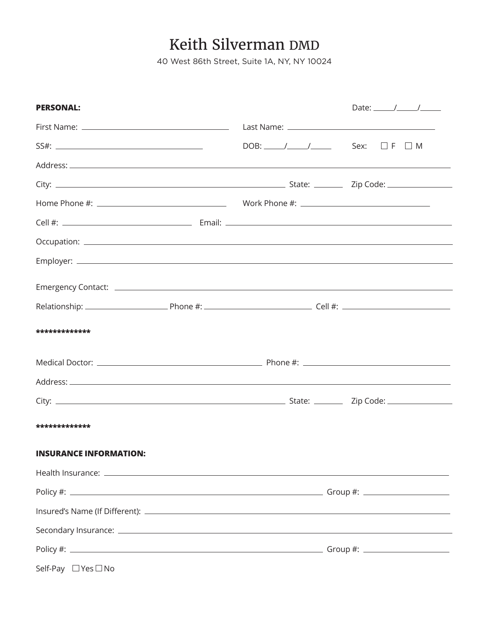## Keith Silverman DMD

40 West 86th Street, Suite 1A, NY, NY 10024

| <b>PERSONAL:</b>              |                                           |  | Date: $\frac{1}{\sqrt{2\pi}}$ |
|-------------------------------|-------------------------------------------|--|-------------------------------|
|                               |                                           |  |                               |
|                               | $DOB:$ / / / Sex: $\square$ F $\square$ M |  |                               |
|                               |                                           |  |                               |
|                               |                                           |  |                               |
|                               |                                           |  |                               |
|                               |                                           |  |                               |
|                               |                                           |  |                               |
|                               |                                           |  |                               |
|                               |                                           |  |                               |
|                               |                                           |  |                               |
| *************                 |                                           |  |                               |
|                               |                                           |  |                               |
|                               |                                           |  |                               |
|                               |                                           |  |                               |
| *************                 |                                           |  |                               |
| <b>INSURANCE INFORMATION:</b> |                                           |  |                               |
|                               |                                           |  |                               |
|                               |                                           |  |                               |
|                               |                                           |  |                               |
|                               |                                           |  |                               |
|                               |                                           |  |                               |
| Self-Pay □ Yes □ No           |                                           |  |                               |